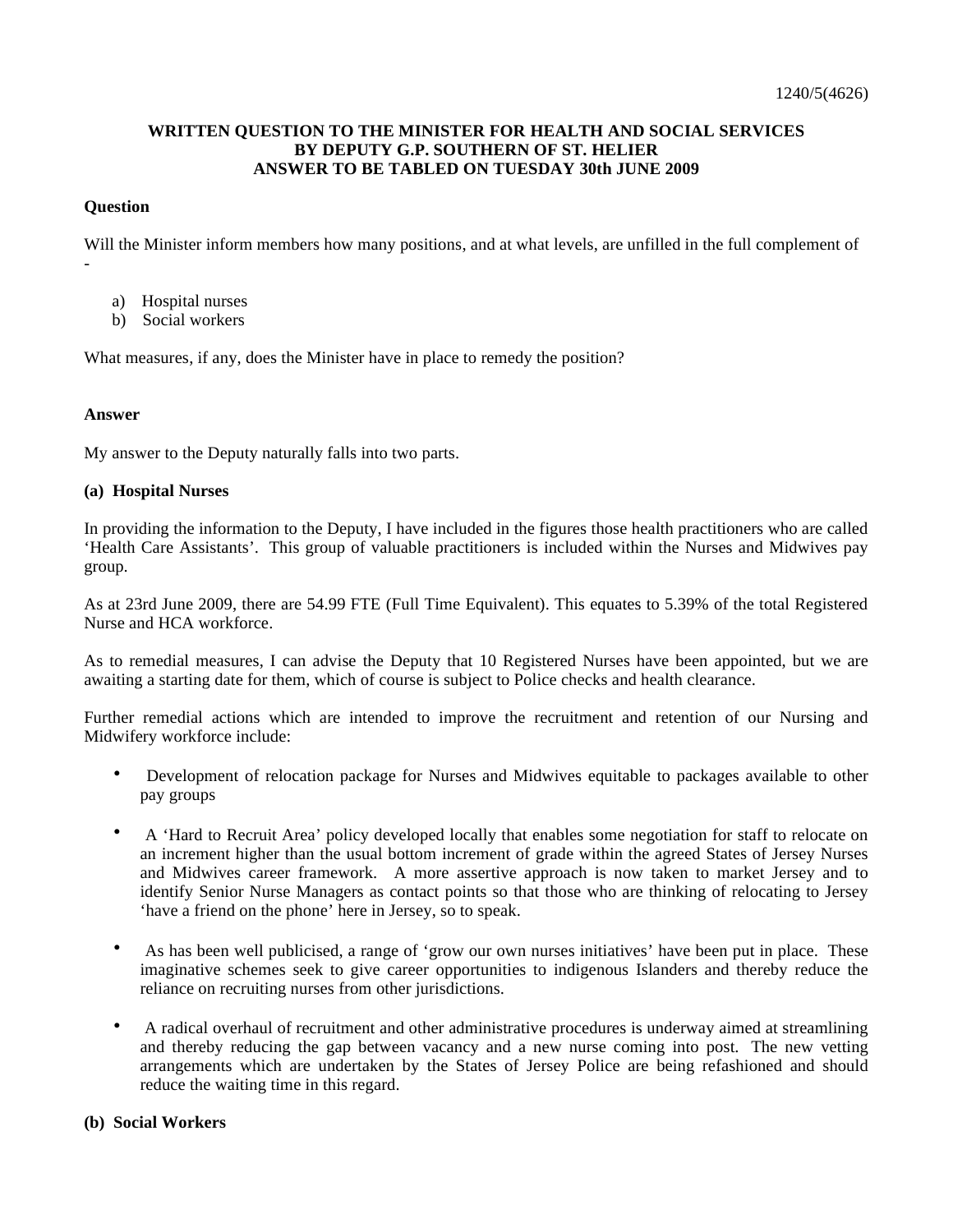# **WRITTEN QUESTION TO THE MINISTER FOR HEALTH AND SOCIAL SERVICES BY DEPUTY G.P. SOUTHERN OF ST. HELIER ANSWER TO BE TABLED ON TUESDAY 30th JUNE 2009**

## **Question**

-

Will the Minister inform members how many positions, and at what levels, are unfilled in the full complement of

- a) Hospital nurses
- b) Social workers

What measures, if any, does the Minister have in place to remedy the position?

#### **Answer**

My answer to the Deputy naturally falls into two parts.

#### **(a) Hospital Nurses**

In providing the information to the Deputy, I have included in the figures those health practitioners who are called 'Health Care Assistants'. This group of valuable practitioners is included within the Nurses and Midwives pay group.

As at 23rd June 2009, there are 54.99 FTE (Full Time Equivalent). This equates to 5.39% of the total Registered Nurse and HCA workforce.

As to remedial measures, I can advise the Deputy that 10 Registered Nurses have been appointed, but we are awaiting a starting date for them, which of course is subject to Police checks and health clearance.

Further remedial actions which are intended to improve the recruitment and retention of our Nursing and Midwifery workforce include:

- Development of relocation package for Nurses and Midwives equitable to packages available to other pay groups
- A 'Hard to Recruit Area' policy developed locally that enables some negotiation for staff to relocate on an increment higher than the usual bottom increment of grade within the agreed States of Jersey Nurses and Midwives career framework. A more assertive approach is now taken to market Jersey and to identify Senior Nurse Managers as contact points so that those who are thinking of relocating to Jersey 'have a friend on the phone' here in Jersey, so to speak.
- As has been well publicised, a range of 'grow our own nurses initiatives' have been put in place. These imaginative schemes seek to give career opportunities to indigenous Islanders and thereby reduce the reliance on recruiting nurses from other jurisdictions.
- A radical overhaul of recruitment and other administrative procedures is underway aimed at streamlining and thereby reducing the gap between vacancy and a new nurse coming into post. The new vetting arrangements which are undertaken by the States of Jersey Police are being refashioned and should reduce the waiting time in this regard.

### **(b) Social Workers**